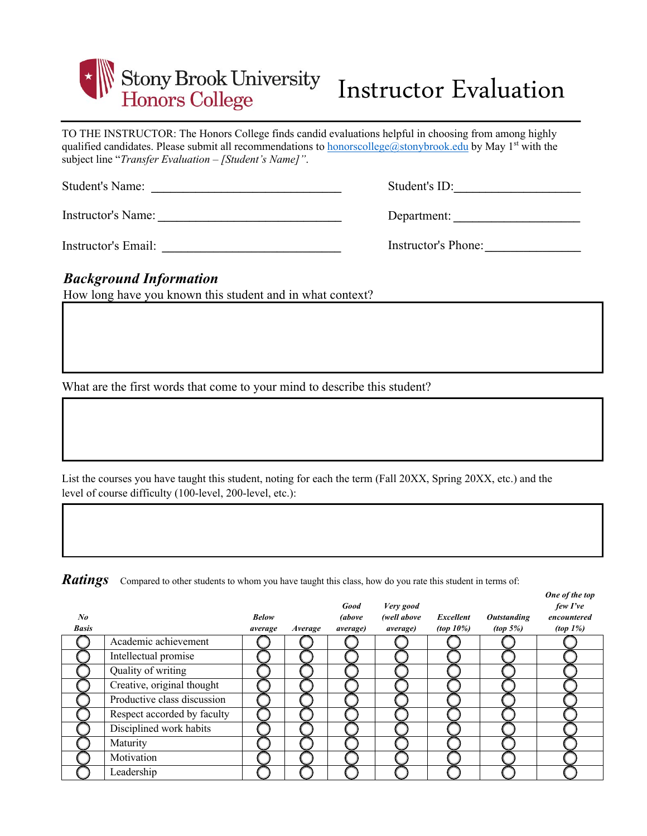

## Instructor Evaluation

TO THE INSTRUCTOR: The Honors College finds candid evaluations helpful in choosing from among highly qualified candidates. Please submit all recommendations to honorscollege@stonybrook.edu by May 1<sup>st</sup> with the subject line "*Transfer Evaluation – [Student's Name]"*.

Instructor's Name: *\_\_\_\_\_\_\_\_\_\_\_\_\_\_\_\_\_\_\_\_\_\_\_\_\_\_\_\_\_*

Instructor's Email: *\_\_\_\_\_\_\_\_\_\_\_\_\_\_\_\_\_\_\_\_\_\_\_\_\_\_\_\_*

| Student's ID: |  |
|---------------|--|
|               |  |

Department: *\_\_\_\_\_\_\_\_\_\_\_\_\_\_\_\_\_\_\_\_* 

| Instructor's Phone: |  |
|---------------------|--|
|---------------------|--|

## *Background Information*

How long have you known this student and in what context?

What are the first words that come to your mind to describe this student?

List the courses you have taught this student, noting for each the term (Fall 20XX, Spring 20XX, etc.) and the level of course difficulty (100-level, 200-level, etc.):

*Ratings* Compared to other students to whom you have taught this class, how do you rate this student in terms of:

| No<br><b>Basis</b> |                             | <b>Below</b><br>average | Average | Good<br><i>(above</i><br><i>average</i> ) | Very good<br>(well above<br><i>average</i> ) | Excellent<br>(top 10%) | <b>Outstanding</b><br>(top 5%) | One of the top<br>few I've<br>encountered<br>$(top 1\%)$ |
|--------------------|-----------------------------|-------------------------|---------|-------------------------------------------|----------------------------------------------|------------------------|--------------------------------|----------------------------------------------------------|
|                    | Academic achievement        |                         |         |                                           |                                              |                        |                                |                                                          |
|                    | Intellectual promise        |                         |         |                                           |                                              |                        |                                |                                                          |
|                    | Quality of writing          |                         |         |                                           |                                              |                        |                                |                                                          |
|                    | Creative, original thought  |                         |         |                                           |                                              |                        |                                |                                                          |
|                    | Productive class discussion |                         |         |                                           |                                              |                        |                                |                                                          |
|                    | Respect accorded by faculty |                         |         |                                           |                                              |                        |                                |                                                          |
|                    | Disciplined work habits     |                         |         |                                           |                                              |                        |                                |                                                          |
|                    | Maturity                    |                         |         |                                           |                                              |                        |                                |                                                          |
|                    | Motivation                  |                         |         |                                           |                                              |                        |                                |                                                          |
|                    | Leadership                  |                         |         |                                           |                                              |                        |                                |                                                          |